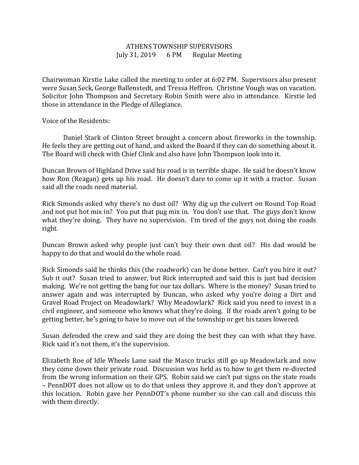## ATHENS TOWNSHIP SUPERVISORS July 31, 2019 6 PM Regular Meeting

Chairwoman Kirstie Lake called the meeting to order at 6:02 PM. Supervisors also present were Susan Seck, George Ballenstedt, and Tressa Heffron. Christine Vough was on vacation. Solicitor John Thompson and Secretary Robin Smith were also in attendance. Kirstie led those in attendance in the Pledge of Allegiance.

Voice of the Residents:

 Daniel Stark of Clinton Street brought a concern about fireworks in the township. He feels they are getting out of hand, and asked the Board if they can do something about it. The Board will check with Chief Clink and also have John Thompson look into it.

Duncan Brown of Highland Drive said his road is in terrible shape. He said he doesn't know how Ron (Reagan) gets up his road. He doesn't dare to come up it with a tractor. Susan said all the roads need material.

Rick Simonds asked why there's no dust oil? Why dig up the culvert on Round Top Road and not put hot mix in? You put that pug mix in. You don't use that. The guys don't know what they're doing. They have no supervision. I'm tired of the guys not doing the roads right.

Duncan Brown asked why people just can't buy their own dust oil? His dad would be happy to do that and would do the whole road.

Rick Simonds said he thinks this (the roadwork) can be done better. Can't you hire it out? Sub it out? Susan tried to answer, but Rick interrupted and said this is just bad decision making. We're not getting the bang for our tax dollars. Where is the money? Susan tried to answer again and was interrupted by Duncan, who asked why you're doing a Dirt and Gravel Road Project on Meadowlark? Why Meadowlark? Rick said you need to invest in a civil engineer, and someone who knows what they're doing. If the roads aren't going to be getting better, he's going to have to move out of the township or get his taxes lowered.

Susan defended the crew and said they are doing the best they can with what they have. Rick said it's not them, it's the supervision.

Elizabeth Roe of Idle Wheels Lane said the Masco trucks still go up Meadowlark and now they come down their private road. Discussion was held as to how to get them re-directed from the wrong information on their GPS. Robin said we can't put signs on the state roads – PennDOT does not allow us to do that unless they approve it, and they don't approve at this location. Robin gave her PennDOT's phone number so she can call and discuss this with them directly.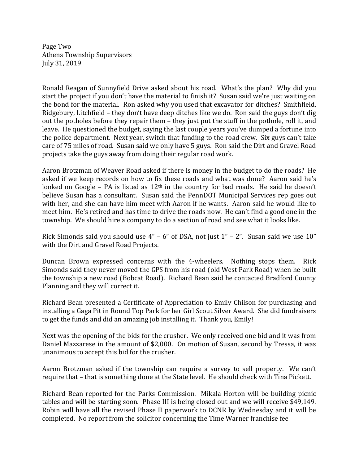Page Two Athens Township Supervisors July 31, 2019

Ronald Reagan of Sunnyfield Drive asked about his road. What's the plan? Why did you start the project if you don't have the material to finish it? Susan said we're just waiting on the bond for the material. Ron asked why you used that excavator for ditches? Smithfield, Ridgebury, Litchfield – they don't have deep ditches like we do. Ron said the guys don't dig out the potholes before they repair them – they just put the stuff in the pothole, roll it, and leave. He questioned the budget, saying the last couple years you've dumped a fortune into the police department. Next year, switch that funding to the road crew. Six guys can't take care of 75 miles of road. Susan said we only have 5 guys. Ron said the Dirt and Gravel Road projects take the guys away from doing their regular road work.

Aaron Brotzman of Weaver Road asked if there is money in the budget to do the roads? He asked if we keep records on how to fix these roads and what was done? Aaron said he's looked on Google – PA is listed as  $12<sup>th</sup>$  in the country for bad roads. He said he doesn't believe Susan has a consultant. Susan said the PennDOT Municipal Services rep goes out with her, and she can have him meet with Aaron if he wants. Aaron said he would like to meet him. He's retired and has time to drive the roads now. He can't find a good one in the township. We should hire a company to do a section of road and see what it looks like.

Rick Simonds said you should use 4" – 6" of DSA, not just 1" – 2". Susan said we use 10" with the Dirt and Gravel Road Projects.

Duncan Brown expressed concerns with the 4-wheelers. Nothing stops them. Rick Simonds said they never moved the GPS from his road (old West Park Road) when he built the township a new road (Bobcat Road). Richard Bean said he contacted Bradford County Planning and they will correct it.

Richard Bean presented a Certificate of Appreciation to Emily Chilson for purchasing and installing a Gaga Pit in Round Top Park for her Girl Scout Silver Award. She did fundraisers to get the funds and did an amazing job installing it. Thank you, Emily!

Next was the opening of the bids for the crusher. We only received one bid and it was from Daniel Mazzarese in the amount of \$2,000. On motion of Susan, second by Tressa, it was unanimous to accept this bid for the crusher.

Aaron Brotzman asked if the township can require a survey to sell property. We can't require that – that is something done at the State level. He should check with Tina Pickett.

Richard Bean reported for the Parks Commission. Mikala Horton will be building picnic tables and will be starting soon. Phase III is being closed out and we will receive \$49,149. Robin will have all the revised Phase II paperwork to DCNR by Wednesday and it will be completed. No report from the solicitor concerning the Time Warner franchise fee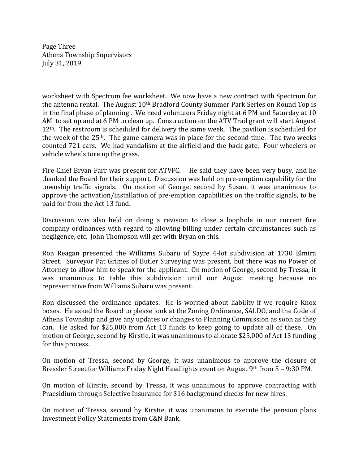Page Three Athens Township Supervisors July 31, 2019

worksheet with Spectrum fee worksheet. We now have a new contract with Spectrum for the antenna rental. The August 10<sup>th</sup> Bradford County Summer Park Series on Round Top is in the final phase of planning . We need volunteers Friday night at 6 PM and Saturday at 10 AM to set up and at 6 PM to clean up. Construction on the ATV Trail grant will start August 12<sup>th</sup>. The restroom is scheduled for delivery the same week. The pavilion is scheduled for the week of the  $25<sup>th</sup>$ . The game camera was in place for the second time. The two weeks counted 721 cars. We had vandalism at the airfield and the back gate. Four wheelers or vehicle wheels tore up the grass.

Fire Chief Bryan Farr was present for ATVFC. He said they have been very busy, and he thanked the Board for their support. Discussion was held on pre-emption capability for the township traffic signals. On motion of George, second by Susan, it was unanimous to approve the activation/installation of pre-emption capabilities on the traffic signals, to be paid for from the Act 13 fund.

Discussion was also held on doing a revision to close a loophole in our current fire company ordinances with regard to allowing billing under certain circumstances such as negligence, etc. John Thompson will get with Bryan on this.

Ron Reagan presented the Williams Subaru of Sayre 4-lot subdivision at 1730 Elmira Street. Surveyor Pat Grimes of Butler Surveying was present, but there was no Power of Attorney to allow him to speak for the applicant. On motion of George, second by Tressa, it was unanimous to table this subdivision until our August meeting because no representative from Williams Subaru was present.

Ron discussed the ordinance updates. He is worried about liability if we require Knox boxes. He asked the Board to please look at the Zoning Ordinance, SALDO, and the Code of Athens Township and give any updates or changes to Planning Commission as soon as they can. He asked for \$25,000 from Act 13 funds to keep going to update all of these. On motion of George, second by Kirstie, it was unanimous to allocate \$25,000 of Act 13 funding for this process.

On motion of Tressa, second by George, it was unanimous to approve the closure of Bressler Street for Williams Friday Night Headlights event on August 9th from 5 – 9:30 PM.

On motion of Kirstie, second by Tressa, it was unanimous to approve contracting with Praesidium through Selective Insurance for \$16 background checks for new hires.

On motion of Tressa, second by Kirstie, it was unanimous to execute the pension plans Investment Policy Statements from C&N Bank.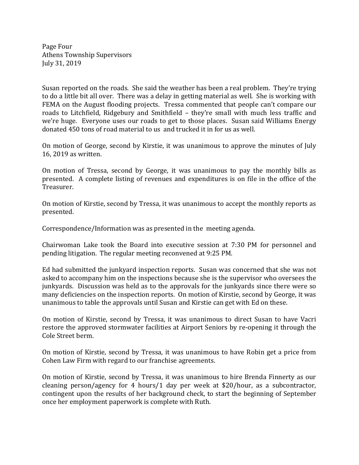Page Four Athens Township Supervisors July 31, 2019

Susan reported on the roads. She said the weather has been a real problem. They're trying to do a little bit all over. There was a delay in getting material as well. She is working with FEMA on the August flooding projects. Tressa commented that people can't compare our roads to Litchfield, Ridgebury and Smithfield – they're small with much less traffic and we're huge. Everyone uses our roads to get to those places. Susan said Williams Energy donated 450 tons of road material to us and trucked it in for us as well.

On motion of George, second by Kirstie, it was unanimous to approve the minutes of July 16, 2019 as written.

On motion of Tressa, second by George, it was unanimous to pay the monthly bills as presented. A complete listing of revenues and expenditures is on file in the office of the Treasurer.

On motion of Kirstie, second by Tressa, it was unanimous to accept the monthly reports as presented.

Correspondence/Information was as presented in the meeting agenda.

Chairwoman Lake took the Board into executive session at 7:30 PM for personnel and pending litigation. The regular meeting reconvened at 9:25 PM.

Ed had submitted the junkyard inspection reports. Susan was concerned that she was not asked to accompany him on the inspections because she is the supervisor who oversees the junkyards. Discussion was held as to the approvals for the junkyards since there were so many deficiencies on the inspection reports. On motion of Kirstie, second by George, it was unanimous to table the approvals until Susan and Kirstie can get with Ed on these.

On motion of Kirstie, second by Tressa, it was unanimous to direct Susan to have Vacri restore the approved stormwater facilities at Airport Seniors by re-opening it through the Cole Street berm.

On motion of Kirstie, second by Tressa, it was unanimous to have Robin get a price from Cohen Law Firm with regard to our franchise agreements.

On motion of Kirstie, second by Tressa, it was unanimous to hire Brenda Finnerty as our cleaning person/agency for 4 hours/1 day per week at \$20/hour, as a subcontractor, contingent upon the results of her background check, to start the beginning of September once her employment paperwork is complete with Ruth.